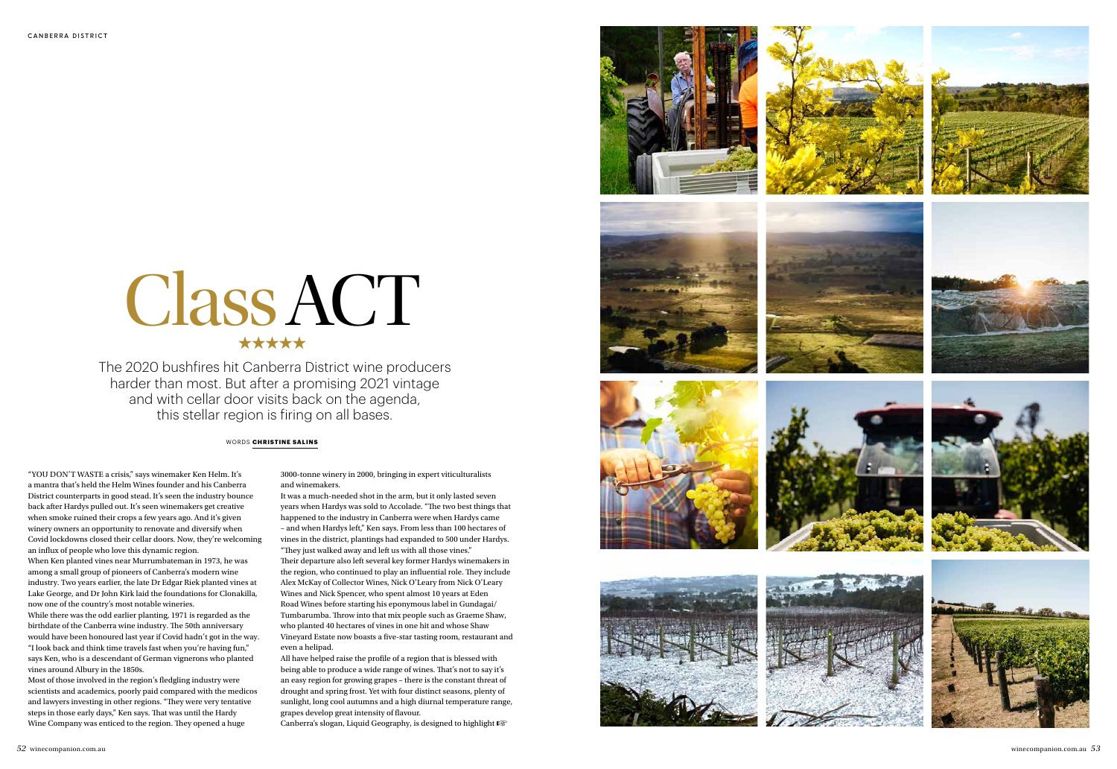



















## WORDS **CHRISTINE SALINS**

"YOU DON'T WASTE a crisis," says winemaker Ken Helm. It's a mantra that's held the Helm Wines founder and his Canberra District counterparts in good stead. It's seen the industry bounce back after Hardys pulled out. It's seen winemakers get creative when smoke ruined their crops a few years ago. And it's given winery owners an opportunity to renovate and diversify when Covid lockdowns closed their cellar doors. Now, they're welcoming an influx of people who love this dynamic region.

When Ken planted vines near Murrumbateman in 1973, he was among a small group of pioneers of Canberra's modern wine industry. Two years earlier, the late Dr Edgar Riek planted vines at Lake George, and Dr John Kirk laid the foundations for Clonakilla, now one of the country's most notable wineries.

While there was the odd earlier planting, 1971 is regarded as the birthdate of the Canberra wine industry. The 50th anniversary would have been honoured last year if Covid hadn't got in the way. "I look back and think time travels fast when you're having fun," says Ken, who is a descendant of German vignerons who planted vines around Albury in the 1850s.

Most of those involved in the region's fledgling industry were scientists and academics, poorly paid compared with the medicos and lawyers investing in other regions. "They were very tentative steps in those early days," Ken says. That was until the Hardy Wine Company was enticed to the region. They opened a huge

3000-tonne winery in 2000, bringing in expert viticulturalists and winemakers.

It was a much-needed shot in the arm, but it only lasted seven years when Hardys was sold to Accolade. "The two best things that happened to the industry in Canberra were when Hardys came – and when Hardys left," Ken says. From less than 100 hectares of vines in the district, plantings had expanded to 500 under Hardys. "They just walked away and left us with all those vines." Their departure also left several key former Hardys winemakers in the region, who continued to play an influential role. They include Alex McKay of Collector Wines, Nick O'Leary from Nick O'Leary Wines and Nick Spencer, who spent almost 10 years at Eden Road Wines before starting his eponymous label in Gundagai/ Tumbarumba. Throw into that mix people such as Graeme Shaw, who planted 40 hectares of vines in one hit and whose Shaw Vineyard Estate now boasts a five-star tasting room, restaurant and even a helipad.

All have helped raise the profile of a region that is blessed with being able to produce a wide range of wines. That's not to say it's an easy region for growing grapes – there is the constant threat of drought and spring frost. Yet with four distinct seasons, plenty of sunlight, long cool autumns and a high diurnal temperature range, grapes develop great intensity of flavour.

Canberra's slogan, Liquid Geography, is designed to highlight ☞

The 2020 bushfires hit Canberra District wine producers harder than most. But after a promising 2021 vintage and with cellar door visits back on the agenda, this stellar region is firing on all bases.

## Class ACT ★★★★★